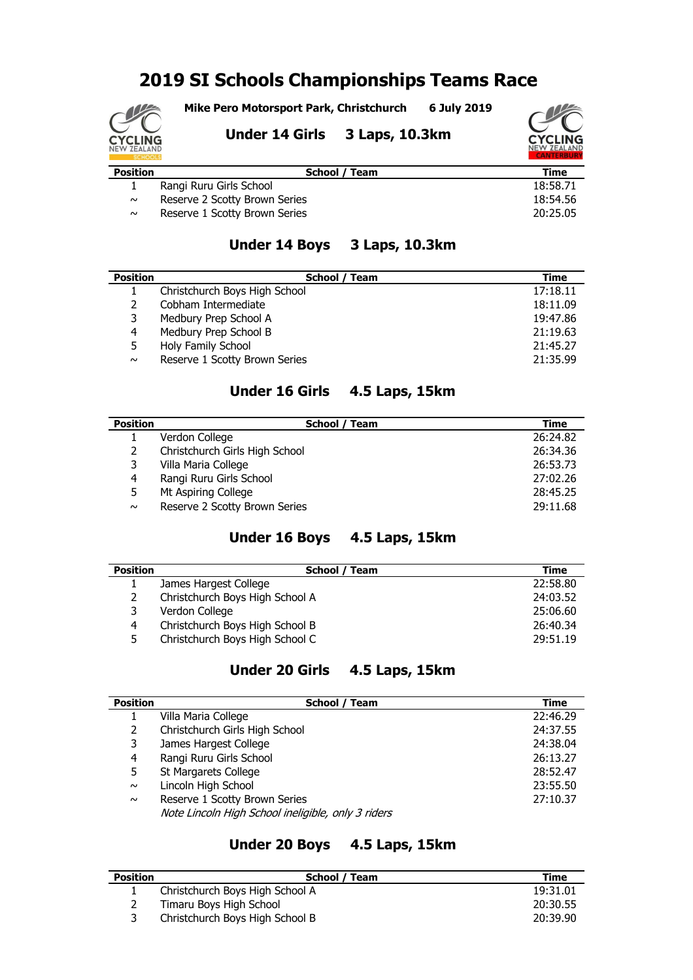# **2019 SI Schools Championships Teams Race**

**Mike Pero Motorsport Park, Christchurch 6 July 2019**



**Under 14 Girls 3 Laps, 10.3km**



| <b>Position</b> | School / Team                 | Time     |
|-----------------|-------------------------------|----------|
|                 | Rangi Ruru Girls School       | 18:58.71 |
| $\sim$          | Reserve 2 Scotty Brown Series | 18:54.56 |
| $\sim$          | Reserve 1 Scotty Brown Series | 20:25.05 |

#### **Under 14 Boys 3 Laps, 10.3km**

| <b>Position</b> | School<br>Team                | Time     |
|-----------------|-------------------------------|----------|
|                 | Christchurch Boys High School | 17:18.11 |
|                 | Cobham Intermediate           | 18:11.09 |
| 3.              | Medbury Prep School A         | 19:47.86 |
| 4               | Medbury Prep School B         | 21:19.63 |
| 5.              | Holy Family School            | 21:45.27 |
| $\sim$          | Reserve 1 Scotty Brown Series | 21:35.99 |

### **Under 16 Girls 4.5 Laps, 15km**

| <b>Position</b> | School / Team                  | Time     |
|-----------------|--------------------------------|----------|
|                 | Verdon College                 | 26:24.82 |
|                 | Christchurch Girls High School | 26:34.36 |
| 3               | Villa Maria College            | 26:53.73 |
| 4               | Rangi Ruru Girls School        | 27:02.26 |
| 5.              | Mt Aspiring College            | 28:45.25 |
| $\sim$          | Reserve 2 Scotty Brown Series  | 29:11.68 |

#### **Under 16 Boys 4.5 Laps, 15km**

| <b>Position</b> | School / Team                   | Time     |
|-----------------|---------------------------------|----------|
|                 | James Hargest College           | 22:58.80 |
|                 | Christchurch Boys High School A | 24:03.52 |
|                 | Verdon College                  | 25:06.60 |
| 4               | Christchurch Boys High School B | 26:40.34 |
| 5.              | Christchurch Boys High School C | 29:51.19 |

#### **Under 20 Girls 4.5 Laps, 15km**

| <b>Position</b> | School /<br>Team                                   | Time     |
|-----------------|----------------------------------------------------|----------|
|                 | Villa Maria College                                | 22:46.29 |
| $\mathcal{P}$   | Christchurch Girls High School                     | 24:37.55 |
| 3               | James Hargest College                              | 24:38.04 |
| 4               | Rangi Ruru Girls School                            | 26:13.27 |
| 5.              | St Margarets College                               | 28:52.47 |
| $\sim$          | Lincoln High School                                | 23:55.50 |
| $\sim$          | Reserve 1 Scotty Brown Series                      | 27:10.37 |
|                 | Note Lincoln High School ineligible, only 3 riders |          |

## **Under 20 Boys 4.5 Laps, 15km**

| <b>Position</b> | School / Team                   | Time     |
|-----------------|---------------------------------|----------|
|                 | Christchurch Boys High School A | 19:31.01 |
|                 | Timaru Boys High School         | 20:30.55 |
|                 | Christchurch Boys High School B | 20:39.90 |